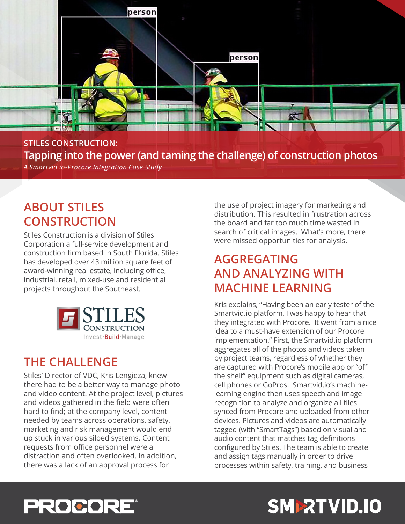

**STILES CONSTRUCTION: Tapping into the power (and taming the challenge) of construction photos** *A Smartvid.io-Procore Integration Case Study*

### **ABOUT STILES CONSTRUCTION**

Stiles Construction is a division of Stiles Corporation a full-service development and construction firm based in South Florida. Stiles has developed over 43 million square feet of award-winning real estate, including office, industrial, retail, mixed-use and residential projects throughout the Southeast.



### **THE CHALLENGE**

Stiles' Director of VDC, Kris Lengieza, knew there had to be a better way to manage photo and video content. At the project level, pictures and videos gathered in the field were often hard to find; at the company level, content needed by teams across operations, safety, marketing and risk management would end up stuck in various siloed systems. Content requests from office personnel were a distraction and often overlooked. In addition, there was a lack of an approval process for

the use of project imagery for marketing and distribution. This resulted in frustration across the board and far too much time wasted in search of critical images. What's more, there were missed opportunities for analysis.

### **AGGREGATING AND ANALYZING WITH MACHINE LEARNING**

Kris explains, "Having been an early tester of the Smartvid.io platform, I was happy to hear that they integrated with Procore. It went from a nice idea to a must-have extension of our Procore implementation." First, the Smartvid.io platform aggregates all of the photos and videos taken by project teams, regardless of whether they are captured with Procore's mobile app or "off the shelf" equipment such as digital cameras, cell phones or GoPros. Smartvid.io's machinelearning engine then uses speech and image recognition to analyze and organize all files synced from Procore and uploaded from other devices. Pictures and videos are automatically tagged (with "SmartTags") based on visual and audio content that matches tag definitions configured by Stiles. The team is able to create and assign tags manually in order to drive processes within safety, training, and business



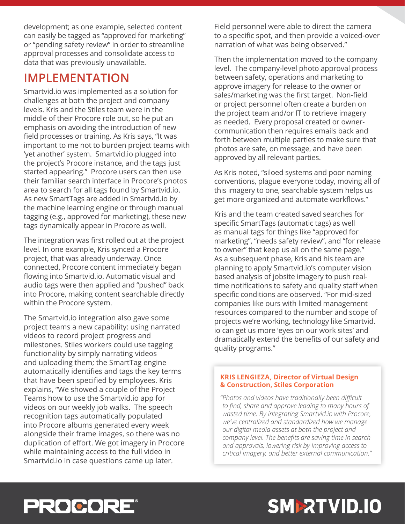development; as one example, selected content can easily be tagged as "approved for marketing" or "pending safety review" in order to streamline approval processes and consolidate access to data that was previously unavailable.

### **IMPLEMENTATION**

Smartvid.io was implemented as a solution for challenges at both the project and company levels. Kris and the Stiles team were in the middle of their Procore role out, so he put an emphasis on avoiding the introduction of new field processes or training. As Kris says, "It was important to me not to burden project teams with 'yet another' system. Smartvid.io plugged into the project's Procore instance, and the tags just started appearing." Procore users can then use their familiar search interface in Procore's photos area to search for all tags found by Smartvid.io. As new SmartTags are added in Smartvid.io by the machine learning engine or through manual tagging (e.g., approved for marketing), these new tags dynamically appear in Procore as well.

The integration was first rolled out at the project level. In one example, Kris synced a Procore project, that was already underway. Once connected, Procore content immediately began flowing into Smartvid.io. Automatic visual and audio tags were then applied and "pushed" back into Procore, making content searchable directly within the Procore system.

The Smartvid.io integration also gave some project teams a new capability: using narrated videos to record project progress and milestones. Stiles workers could use tagging functionality by simply narrating videos and uploading them; the SmartTag engine automatically identifies and tags the key terms that have been specified by employees. Kris explains, "We showed a couple of the Project Teams how to use the Smartvid.io app for videos on our weekly job walks. The speech recognition tags automatically populated into Procore albums generated every week alongside their frame images, so there was no duplication of effort. We got imagery in Procore while maintaining access to the full video in Smartvid.io in case questions came up later.

Field personnel were able to direct the camera to a specific spot, and then provide a voiced-over narration of what was being observed."

Then the implementation moved to the company level. The company-level photo approval process between safety, operations and marketing to approve imagery for release to the owner or sales/marketing was the first target. Non-field or project personnel often create a burden on the project team and/or IT to retrieve imagery as needed. Every proposal created or ownercommunication then requires emails back and forth between multiple parties to make sure that photos are safe, on message, and have been approved by all relevant parties.

As Kris noted, "siloed systems and poor naming conventions, plague everyone today, moving all of this imagery to one, searchable system helps us get more organized and automate workflows."

Kris and the team created saved searches for specific SmartTags (automatic tags) as well as manual tags for things like "approved for marketing", "needs safety review", and "for release to owner" that keep us all on the same page." As a subsequent phase, Kris and his team are planning to apply Smartvid.io's computer vision based analysis of jobsite imagery to push realtime notifications to safety and quality staff when specific conditions are observed. "For mid-sized companies like ours with limited management resources compared to the number and scope of projects we're working, technology like Smartvid. io can get us more 'eyes on our work sites' and dramatically extend the benefits of our safety and quality programs."

#### **KRIS LENGIEZA, Director of Virtual Design & Construction, Stiles Corporation**

*"Photos and videos have traditionally been difficult to find, share and approve leading to many hours of wasted time. By integrating Smartvid.io with Procore, we've centralized and standardized how we manage our digital media assets at both the project and company level. The benefits are saving time in search and approvals, lowering risk by improving access to critical imagery, and better external communication."*

# **PROCORE®**